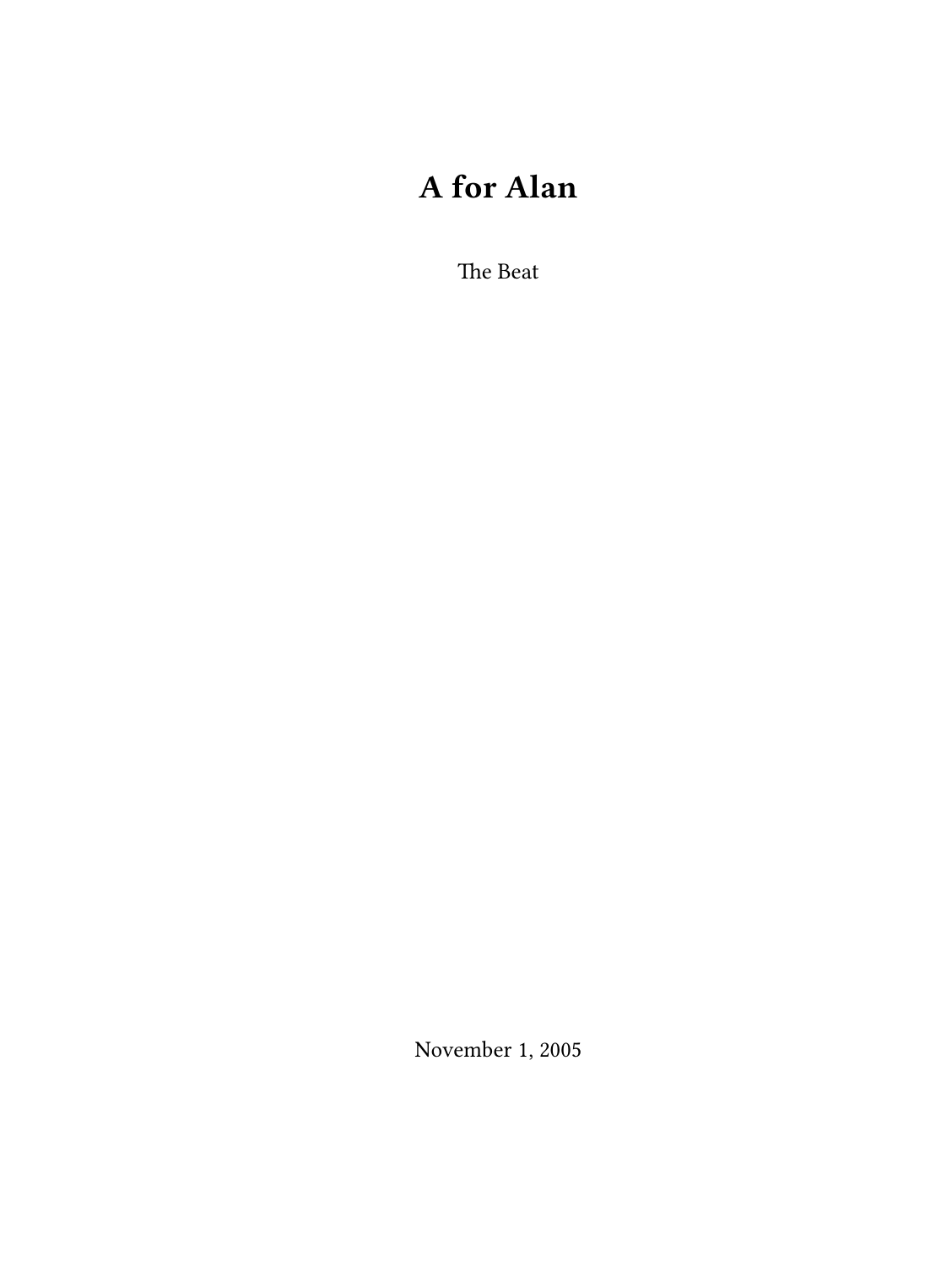# **A for Alan**

The Beat

November 1, 2005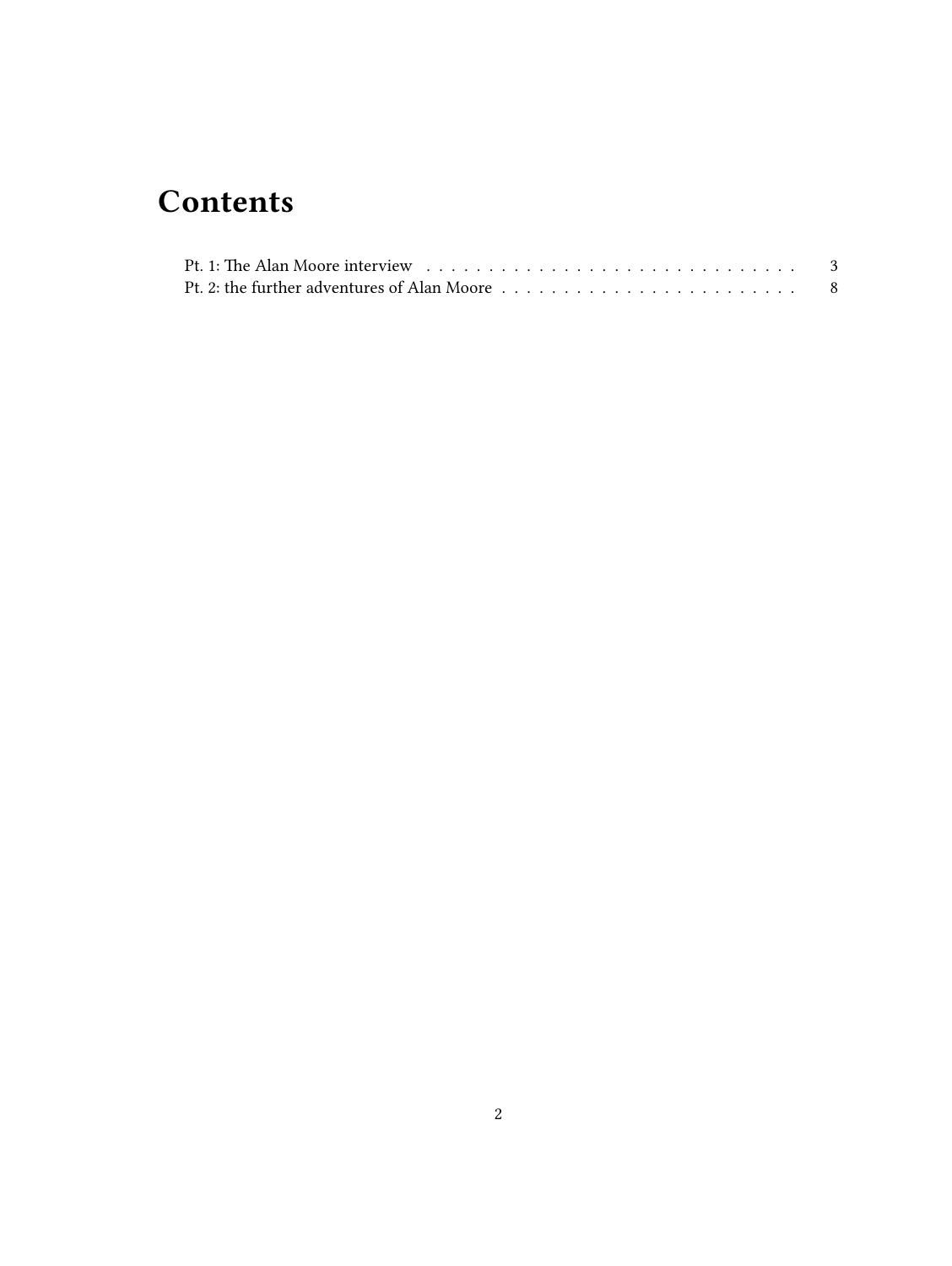## **Contents**

| Pt. 2: the further adventures of Alan Moore $\dots \dots \dots \dots \dots \dots \dots \dots \dots \dots$ |  |
|-----------------------------------------------------------------------------------------------------------|--|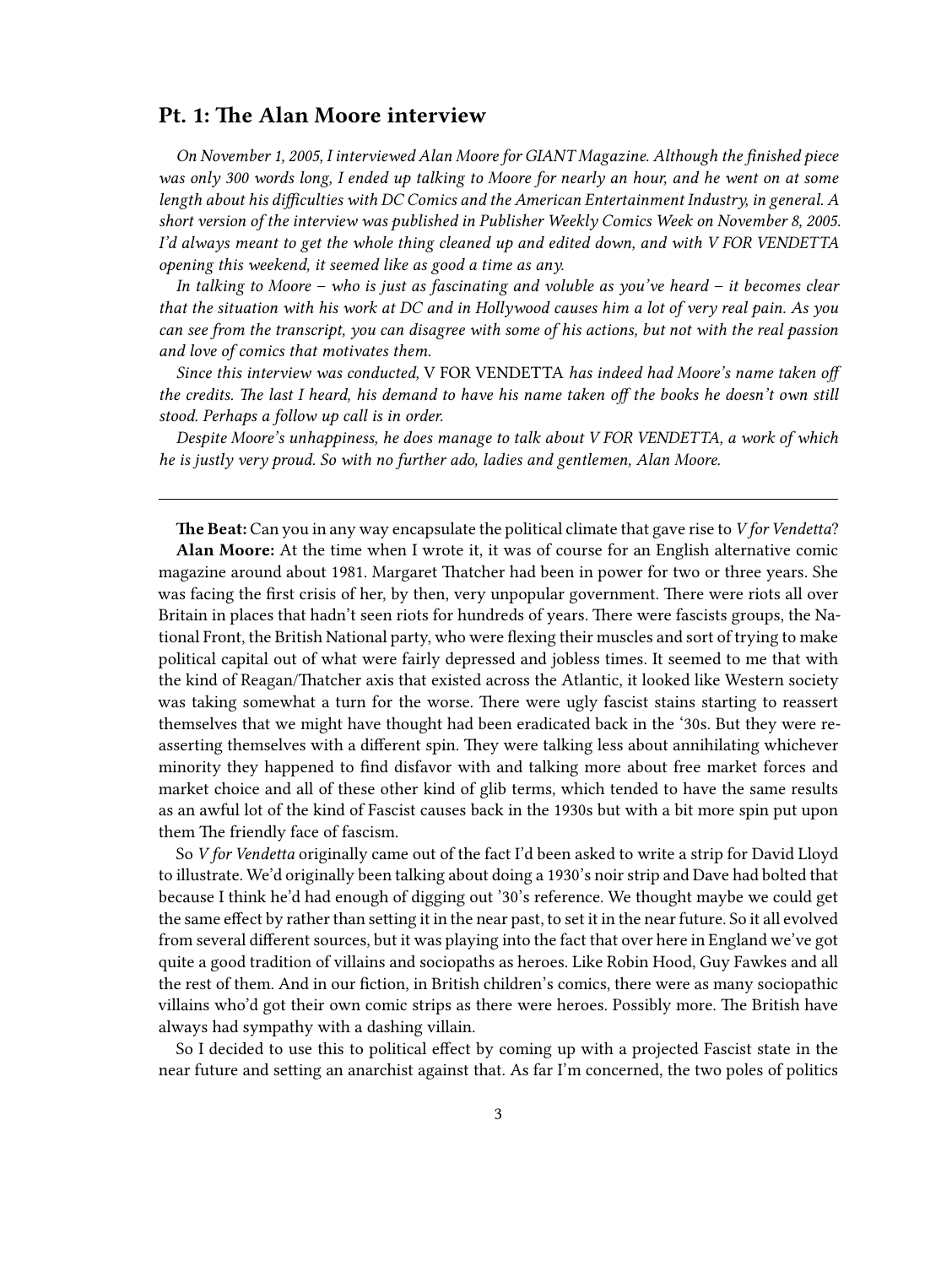### <span id="page-2-0"></span>**Pt. 1: The Alan Moore interview**

*On November 1, 2005, I interviewed Alan Moore for GIANT Magazine. Although the finished piece was only 300 words long, I ended up talking to Moore for nearly an hour, and he went on at some length about his difficulties with DC Comics and the American Entertainment Industry, in general. A short version of the interview was published in Publisher Weekly Comics Week on November 8, 2005. I'd always meant to get the whole thing cleaned up and edited down, and with V FOR VENDETTA opening this weekend, it seemed like as good a time as any.*

*In talking to Moore – who is just as fascinating and voluble as you've heard – it becomes clear that the situation with his work at DC and in Hollywood causes him a lot of very real pain. As you can see from the transcript, you can disagree with some of his actions, but not with the real passion and love of comics that motivates them.*

*Since this interview was conducted,* V FOR VENDETTA *has indeed had Moore's name taken off the credits. The last I heard, his demand to have his name taken off the books he doesn't own still stood. Perhaps a follow up call is in order.*

*Despite Moore's unhappiness, he does manage to talk about V FOR VENDETTA, a work of which he is justly very proud. So with no further ado, ladies and gentlemen, Alan Moore.*

**The Beat:** Can you in any way encapsulate the political climate that gave rise to *V for Vendetta*? **Alan Moore:** At the time when I wrote it, it was of course for an English alternative comic magazine around about 1981. Margaret Thatcher had been in power for two or three years. She was facing the first crisis of her, by then, very unpopular government. There were riots all over Britain in places that hadn't seen riots for hundreds of years. There were fascists groups, the National Front, the British National party, who were flexing their muscles and sort of trying to make political capital out of what were fairly depressed and jobless times. It seemed to me that with the kind of Reagan/Thatcher axis that existed across the Atlantic, it looked like Western society was taking somewhat a turn for the worse. There were ugly fascist stains starting to reassert themselves that we might have thought had been eradicated back in the '30s. But they were reasserting themselves with a different spin. They were talking less about annihilating whichever minority they happened to find disfavor with and talking more about free market forces and market choice and all of these other kind of glib terms, which tended to have the same results as an awful lot of the kind of Fascist causes back in the 1930s but with a bit more spin put upon them The friendly face of fascism.

So *V for Vendetta* originally came out of the fact I'd been asked to write a strip for David Lloyd to illustrate. We'd originally been talking about doing a 1930's noir strip and Dave had bolted that because I think he'd had enough of digging out '30's reference. We thought maybe we could get the same effect by rather than setting it in the near past, to set it in the near future. So it all evolved from several different sources, but it was playing into the fact that over here in England we've got quite a good tradition of villains and sociopaths as heroes. Like Robin Hood, Guy Fawkes and all the rest of them. And in our fiction, in British children's comics, there were as many sociopathic villains who'd got their own comic strips as there were heroes. Possibly more. The British have always had sympathy with a dashing villain.

So I decided to use this to political effect by coming up with a projected Fascist state in the near future and setting an anarchist against that. As far I'm concerned, the two poles of politics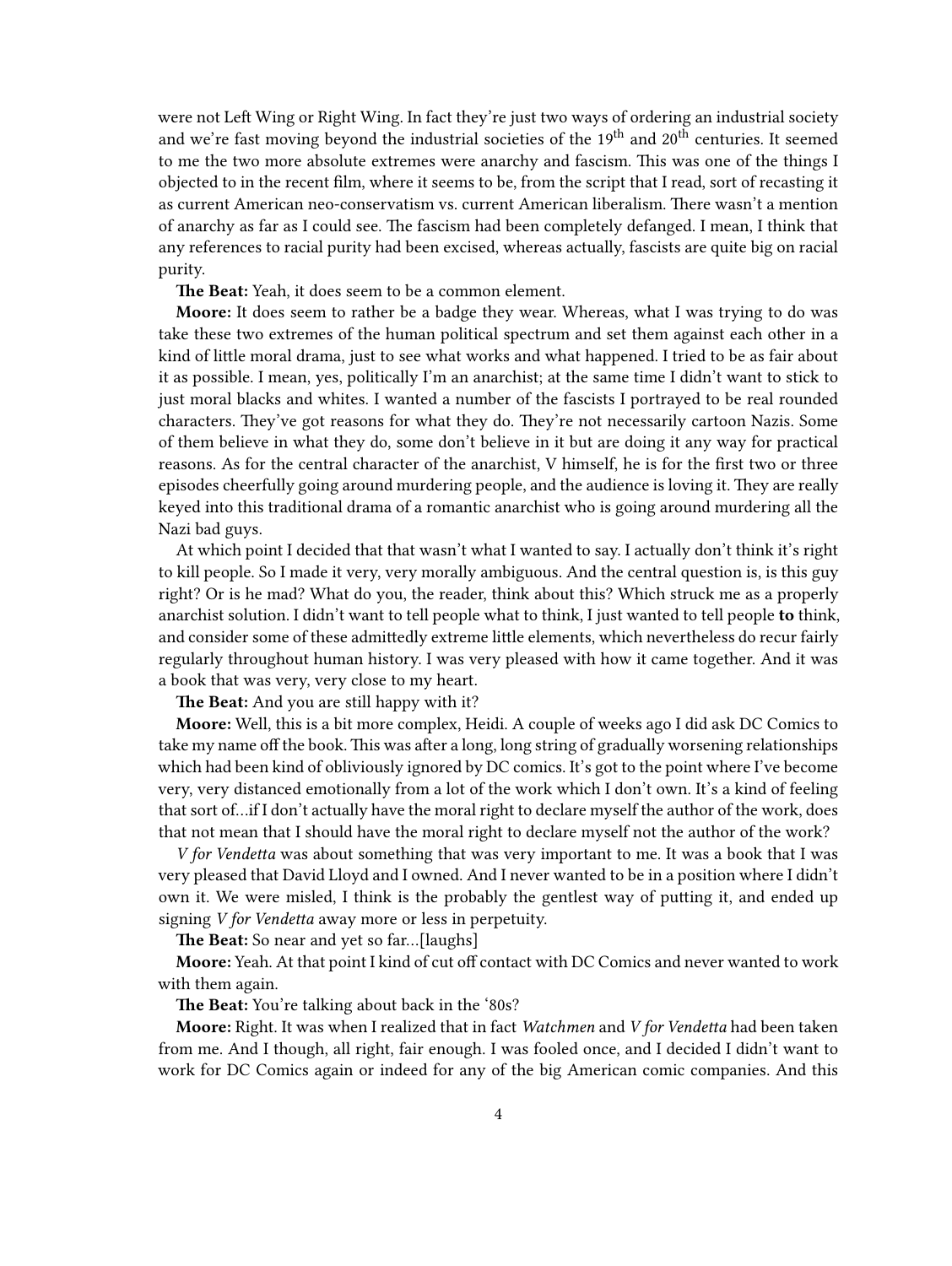were not Left Wing or Right Wing. In fact they're just two ways of ordering an industrial society and we're fast moving beyond the industrial societies of the 19<sup>th</sup> and 20<sup>th</sup> centuries. It seemed to me the two more absolute extremes were anarchy and fascism. This was one of the things I objected to in the recent film, where it seems to be, from the script that I read, sort of recasting it as current American neo-conservatism vs. current American liberalism. There wasn't a mention of anarchy as far as I could see. The fascism had been completely defanged. I mean, I think that any references to racial purity had been excised, whereas actually, fascists are quite big on racial purity.

**The Beat:** Yeah, it does seem to be a common element.

**Moore:** It does seem to rather be a badge they wear. Whereas, what I was trying to do was take these two extremes of the human political spectrum and set them against each other in a kind of little moral drama, just to see what works and what happened. I tried to be as fair about it as possible. I mean, yes, politically I'm an anarchist; at the same time I didn't want to stick to just moral blacks and whites. I wanted a number of the fascists I portrayed to be real rounded characters. They've got reasons for what they do. They're not necessarily cartoon Nazis. Some of them believe in what they do, some don't believe in it but are doing it any way for practical reasons. As for the central character of the anarchist, V himself, he is for the first two or three episodes cheerfully going around murdering people, and the audience is loving it. They are really keyed into this traditional drama of a romantic anarchist who is going around murdering all the Nazi bad guys.

At which point I decided that that wasn't what I wanted to say. I actually don't think it's right to kill people. So I made it very, very morally ambiguous. And the central question is, is this guy right? Or is he mad? What do you, the reader, think about this? Which struck me as a properly anarchist solution. I didn't want to tell people what to think, I just wanted to tell people **to** think, and consider some of these admittedly extreme little elements, which nevertheless do recur fairly regularly throughout human history. I was very pleased with how it came together. And it was a book that was very, very close to my heart.

**The Beat:** And you are still happy with it?

**Moore:** Well, this is a bit more complex, Heidi. A couple of weeks ago I did ask DC Comics to take my name off the book. This was after a long, long string of gradually worsening relationships which had been kind of obliviously ignored by DC comics. It's got to the point where I've become very, very distanced emotionally from a lot of the work which I don't own. It's a kind of feeling that sort of…if I don't actually have the moral right to declare myself the author of the work, does that not mean that I should have the moral right to declare myself not the author of the work?

*V for Vendetta* was about something that was very important to me. It was a book that I was very pleased that David Lloyd and I owned. And I never wanted to be in a position where I didn't own it. We were misled, I think is the probably the gentlest way of putting it, and ended up signing *V for Vendetta* away more or less in perpetuity.

**The Beat:** So near and yet so far…[laughs]

**Moore:** Yeah. At that point I kind of cut off contact with DC Comics and never wanted to work with them again.

**The Beat:** You're talking about back in the '80s?

**Moore:** Right. It was when I realized that in fact *Watchmen* and *V for Vendetta* had been taken from me. And I though, all right, fair enough. I was fooled once, and I decided I didn't want to work for DC Comics again or indeed for any of the big American comic companies. And this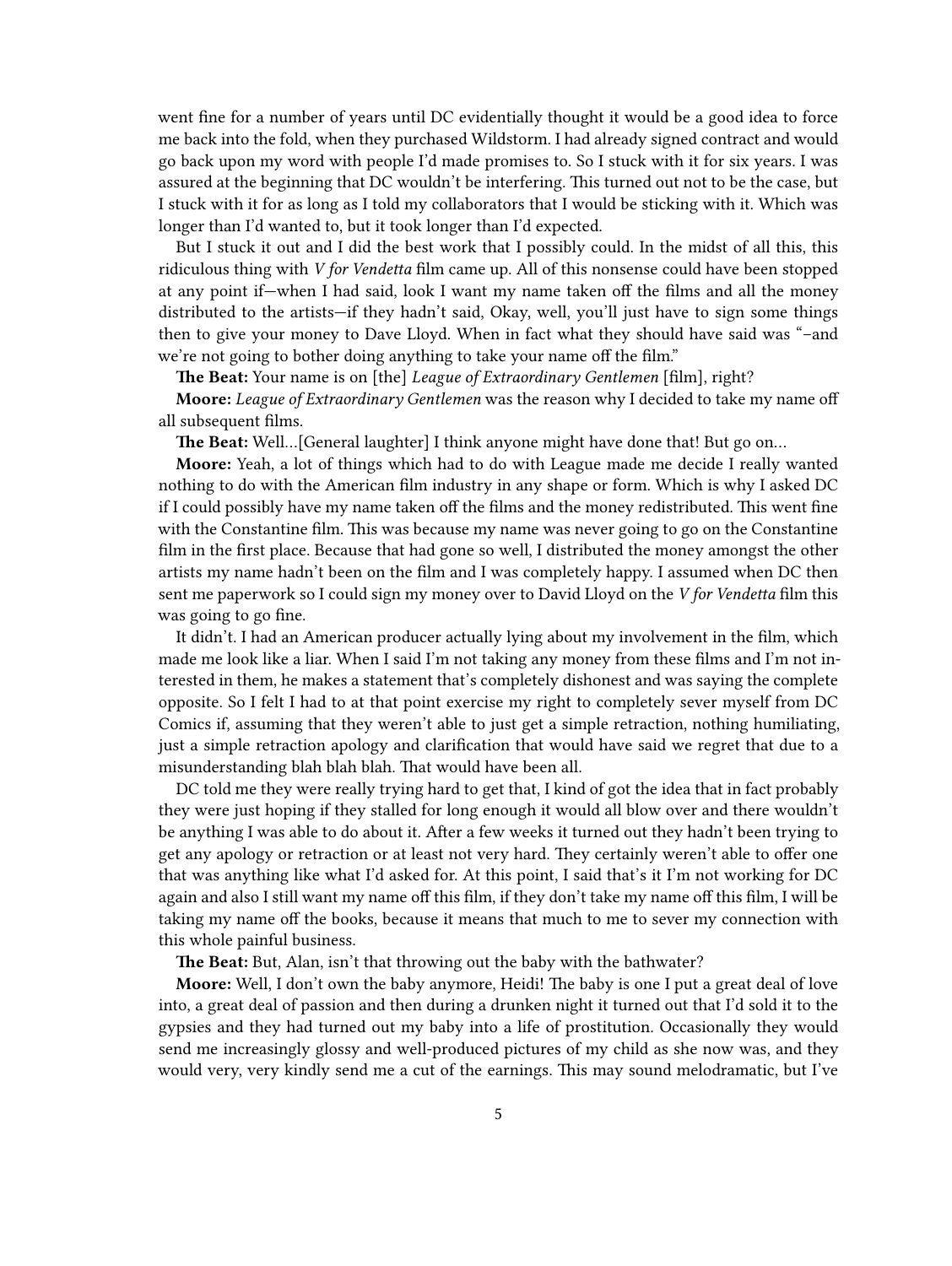went fine for a number of years until DC evidentially thought it would be a good idea to force me back into the fold, when they purchased Wildstorm. I had already signed contract and would go back upon my word with people I'd made promises to. So I stuck with it for six years. I was assured at the beginning that DC wouldn't be interfering. This turned out not to be the case, but I stuck with it for as long as I told my collaborators that I would be sticking with it. Which was longer than I'd wanted to, but it took longer than I'd expected.

But I stuck it out and I did the best work that I possibly could. In the midst of all this, this ridiculous thing with *V for Vendetta* film came up. All of this nonsense could have been stopped at any point if—when I had said, look I want my name taken off the films and all the money distributed to the artists—if they hadn't said, Okay, well, you'll just have to sign some things then to give your money to Dave Lloyd. When in fact what they should have said was "–and we're not going to bother doing anything to take your name off the film."

**The Beat:** Your name is on [the] *League of Extraordinary Gentlemen* [film], right?

**Moore:** *League of Extraordinary Gentlemen* was the reason why I decided to take my name off all subsequent films.

**The Beat:** Well…[General laughter] I think anyone might have done that! But go on…

**Moore:** Yeah, a lot of things which had to do with League made me decide I really wanted nothing to do with the American film industry in any shape or form. Which is why I asked DC if I could possibly have my name taken off the films and the money redistributed. This went fine with the Constantine film. This was because my name was never going to go on the Constantine film in the first place. Because that had gone so well, I distributed the money amongst the other artists my name hadn't been on the film and I was completely happy. I assumed when DC then sent me paperwork so I could sign my money over to David Lloyd on the *V for Vendetta* film this was going to go fine.

It didn't. I had an American producer actually lying about my involvement in the film, which made me look like a liar. When I said I'm not taking any money from these films and I'm not interested in them, he makes a statement that's completely dishonest and was saying the complete opposite. So I felt I had to at that point exercise my right to completely sever myself from DC Comics if, assuming that they weren't able to just get a simple retraction, nothing humiliating, just a simple retraction apology and clarification that would have said we regret that due to a misunderstanding blah blah blah. That would have been all.

DC told me they were really trying hard to get that, I kind of got the idea that in fact probably they were just hoping if they stalled for long enough it would all blow over and there wouldn't be anything I was able to do about it. After a few weeks it turned out they hadn't been trying to get any apology or retraction or at least not very hard. They certainly weren't able to offer one that was anything like what I'd asked for. At this point, I said that's it I'm not working for DC again and also I still want my name off this film, if they don't take my name off this film, I will be taking my name off the books, because it means that much to me to sever my connection with this whole painful business.

**The Beat:** But, Alan, isn't that throwing out the baby with the bathwater?

**Moore:** Well, I don't own the baby anymore, Heidi! The baby is one I put a great deal of love into, a great deal of passion and then during a drunken night it turned out that I'd sold it to the gypsies and they had turned out my baby into a life of prostitution. Occasionally they would send me increasingly glossy and well-produced pictures of my child as she now was, and they would very, very kindly send me a cut of the earnings. This may sound melodramatic, but I've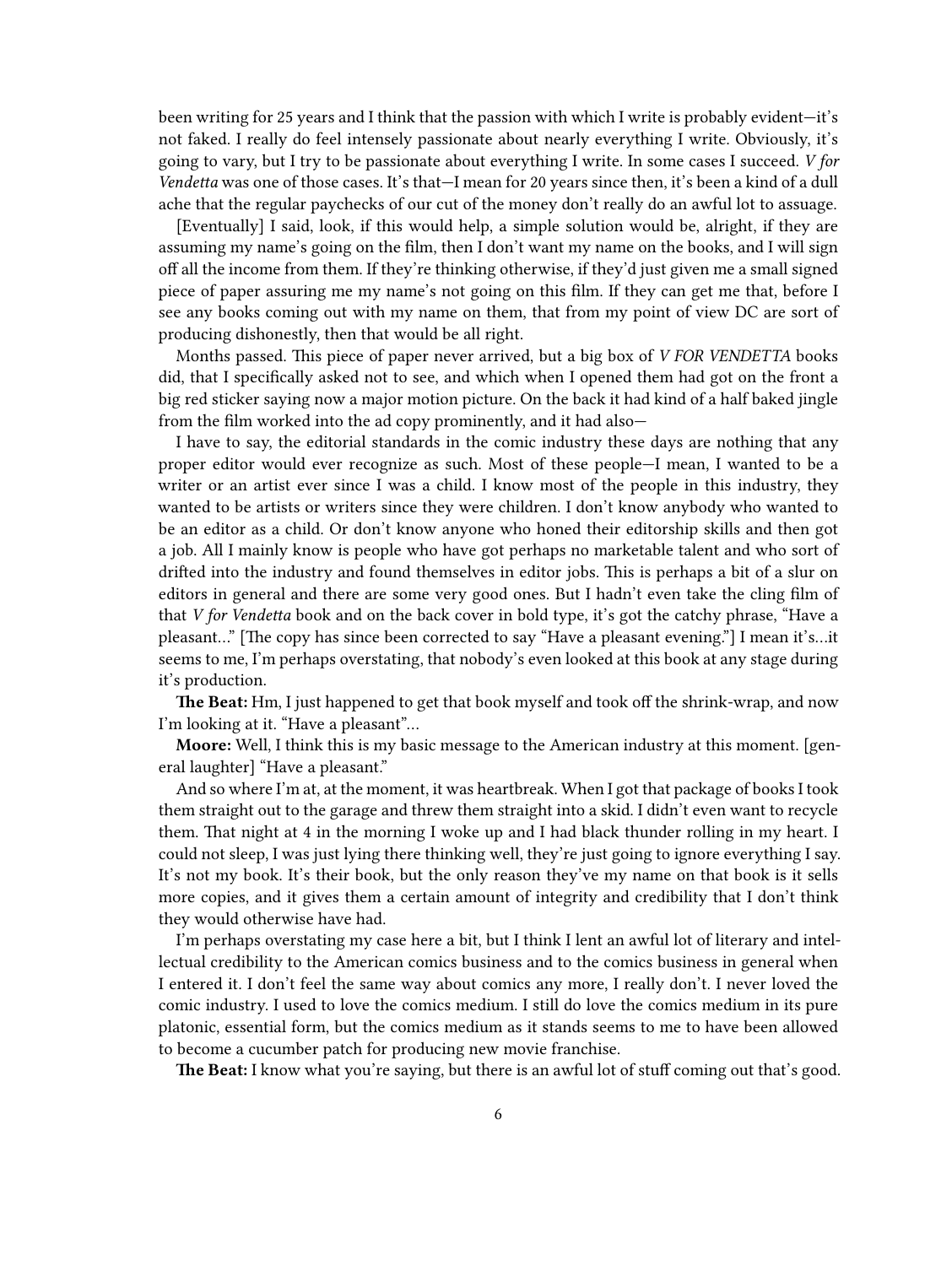been writing for 25 years and I think that the passion with which I write is probably evident—it's not faked. I really do feel intensely passionate about nearly everything I write. Obviously, it's going to vary, but I try to be passionate about everything I write. In some cases I succeed. *V for Vendetta* was one of those cases. It's that—I mean for 20 years since then, it's been a kind of a dull ache that the regular paychecks of our cut of the money don't really do an awful lot to assuage.

[Eventually] I said, look, if this would help, a simple solution would be, alright, if they are assuming my name's going on the film, then I don't want my name on the books, and I will sign off all the income from them. If they're thinking otherwise, if they'd just given me a small signed piece of paper assuring me my name's not going on this film. If they can get me that, before I see any books coming out with my name on them, that from my point of view DC are sort of producing dishonestly, then that would be all right.

Months passed. This piece of paper never arrived, but a big box of *V FOR VENDETTA* books did, that I specifically asked not to see, and which when I opened them had got on the front a big red sticker saying now a major motion picture. On the back it had kind of a half baked jingle from the film worked into the ad copy prominently, and it had also—

I have to say, the editorial standards in the comic industry these days are nothing that any proper editor would ever recognize as such. Most of these people—I mean, I wanted to be a writer or an artist ever since I was a child. I know most of the people in this industry, they wanted to be artists or writers since they were children. I don't know anybody who wanted to be an editor as a child. Or don't know anyone who honed their editorship skills and then got a job. All I mainly know is people who have got perhaps no marketable talent and who sort of drifted into the industry and found themselves in editor jobs. This is perhaps a bit of a slur on editors in general and there are some very good ones. But I hadn't even take the cling film of that *V for Vendetta* book and on the back cover in bold type, it's got the catchy phrase, "Have a pleasant…" [The copy has since been corrected to say "Have a pleasant evening."] I mean it's…it seems to me, I'm perhaps overstating, that nobody's even looked at this book at any stage during it's production.

**The Beat:** Hm, I just happened to get that book myself and took off the shrink-wrap, and now I'm looking at it. "Have a pleasant"…

**Moore:** Well, I think this is my basic message to the American industry at this moment. [general laughter] "Have a pleasant."

And so where I'm at, at the moment, it was heartbreak. When I got that package of books I took them straight out to the garage and threw them straight into a skid. I didn't even want to recycle them. That night at 4 in the morning I woke up and I had black thunder rolling in my heart. I could not sleep, I was just lying there thinking well, they're just going to ignore everything I say. It's not my book. It's their book, but the only reason they've my name on that book is it sells more copies, and it gives them a certain amount of integrity and credibility that I don't think they would otherwise have had.

I'm perhaps overstating my case here a bit, but I think I lent an awful lot of literary and intellectual credibility to the American comics business and to the comics business in general when I entered it. I don't feel the same way about comics any more, I really don't. I never loved the comic industry. I used to love the comics medium. I still do love the comics medium in its pure platonic, essential form, but the comics medium as it stands seems to me to have been allowed to become a cucumber patch for producing new movie franchise.

**The Beat:** I know what you're saying, but there is an awful lot of stuff coming out that's good.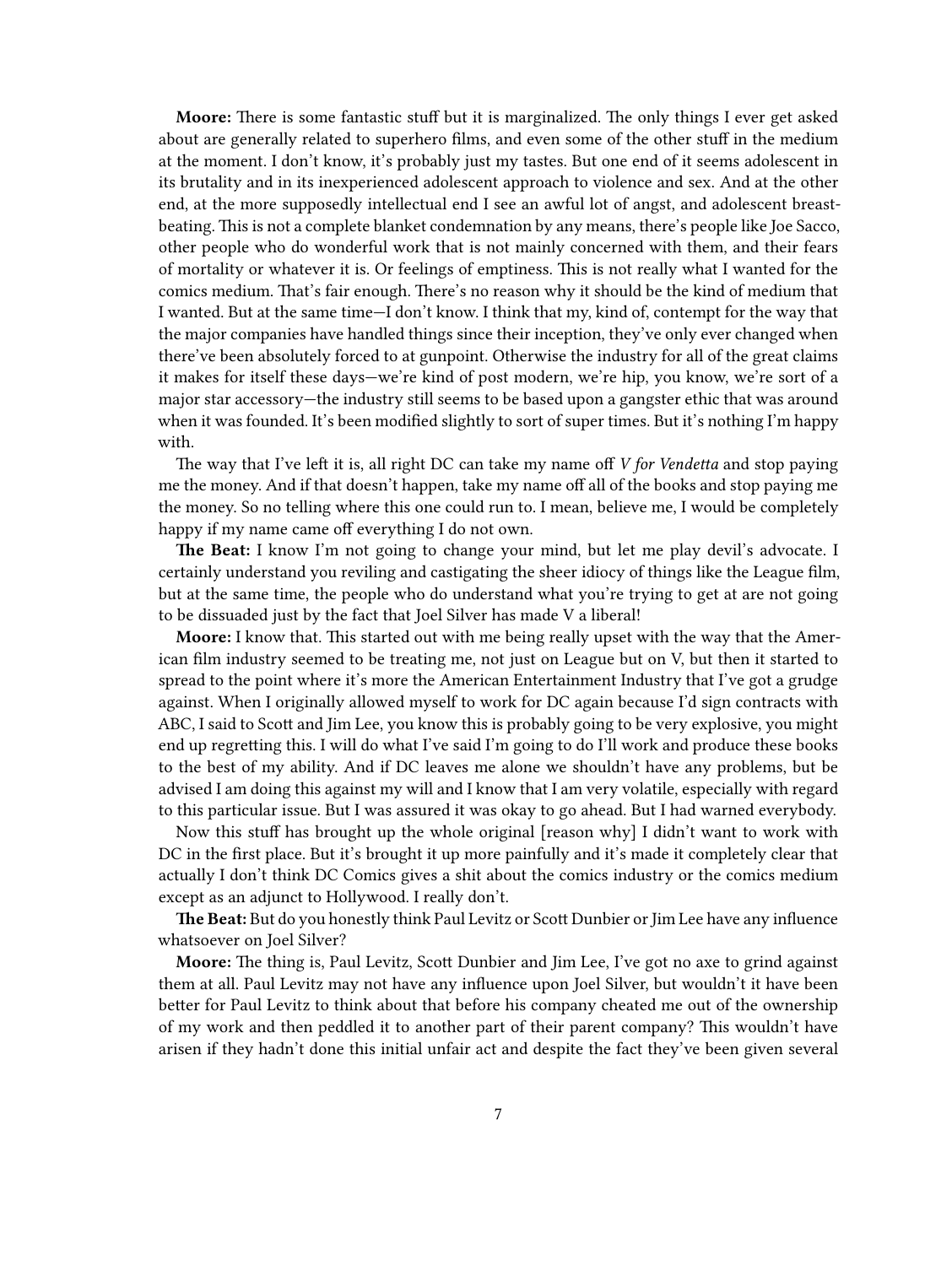**Moore:** There is some fantastic stuff but it is marginalized. The only things I ever get asked about are generally related to superhero films, and even some of the other stuff in the medium at the moment. I don't know, it's probably just my tastes. But one end of it seems adolescent in its brutality and in its inexperienced adolescent approach to violence and sex. And at the other end, at the more supposedly intellectual end I see an awful lot of angst, and adolescent breastbeating. This is not a complete blanket condemnation by any means, there's people like Joe Sacco, other people who do wonderful work that is not mainly concerned with them, and their fears of mortality or whatever it is. Or feelings of emptiness. This is not really what I wanted for the comics medium. That's fair enough. There's no reason why it should be the kind of medium that I wanted. But at the same time—I don't know. I think that my, kind of, contempt for the way that the major companies have handled things since their inception, they've only ever changed when there've been absolutely forced to at gunpoint. Otherwise the industry for all of the great claims it makes for itself these days—we're kind of post modern, we're hip, you know, we're sort of a major star accessory—the industry still seems to be based upon a gangster ethic that was around when it was founded. It's been modified slightly to sort of super times. But it's nothing I'm happy with.

The way that I've left it is, all right DC can take my name off *V for Vendetta* and stop paying me the money. And if that doesn't happen, take my name off all of the books and stop paying me the money. So no telling where this one could run to. I mean, believe me, I would be completely happy if my name came off everything I do not own.

**The Beat:** I know I'm not going to change your mind, but let me play devil's advocate. I certainly understand you reviling and castigating the sheer idiocy of things like the League film, but at the same time, the people who do understand what you're trying to get at are not going to be dissuaded just by the fact that Joel Silver has made V a liberal!

**Moore:** I know that. This started out with me being really upset with the way that the American film industry seemed to be treating me, not just on League but on V, but then it started to spread to the point where it's more the American Entertainment Industry that I've got a grudge against. When I originally allowed myself to work for DC again because I'd sign contracts with ABC, I said to Scott and Jim Lee, you know this is probably going to be very explosive, you might end up regretting this. I will do what I've said I'm going to do I'll work and produce these books to the best of my ability. And if DC leaves me alone we shouldn't have any problems, but be advised I am doing this against my will and I know that I am very volatile, especially with regard to this particular issue. But I was assured it was okay to go ahead. But I had warned everybody.

Now this stuff has brought up the whole original [reason why] I didn't want to work with DC in the first place. But it's brought it up more painfully and it's made it completely clear that actually I don't think DC Comics gives a shit about the comics industry or the comics medium except as an adjunct to Hollywood. I really don't.

**The Beat:** But do you honestly think Paul Levitz or Scott Dunbier or Jim Lee have any influence whatsoever on Joel Silver?

**Moore:** The thing is, Paul Levitz, Scott Dunbier and Jim Lee, I've got no axe to grind against them at all. Paul Levitz may not have any influence upon Joel Silver, but wouldn't it have been better for Paul Levitz to think about that before his company cheated me out of the ownership of my work and then peddled it to another part of their parent company? This wouldn't have arisen if they hadn't done this initial unfair act and despite the fact they've been given several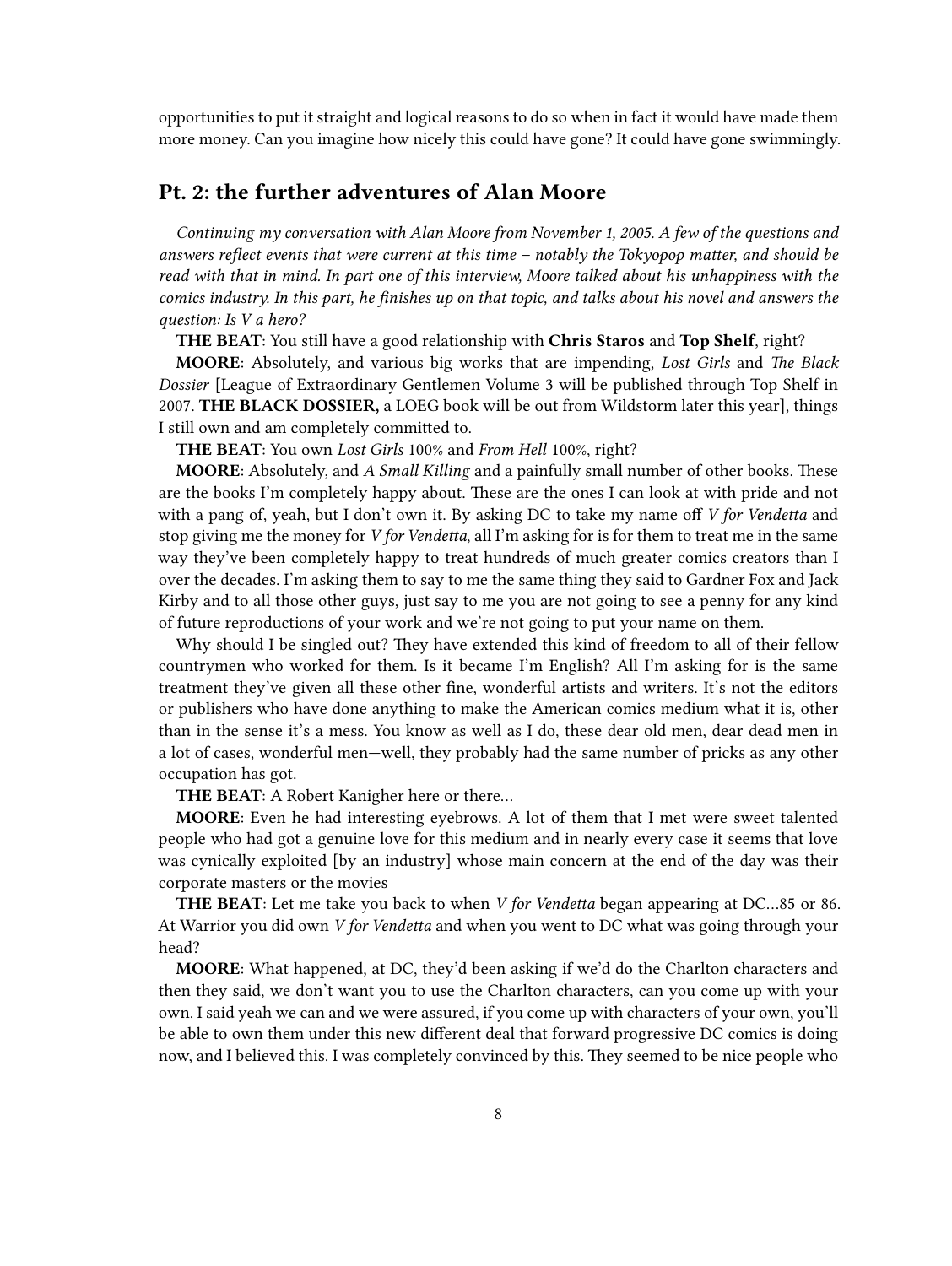opportunities to put it straight and logical reasons to do so when in fact it would have made them more money. Can you imagine how nicely this could have gone? It could have gone swimmingly.

#### <span id="page-7-0"></span>**Pt. 2: the further adventures of Alan Moore**

*Continuing my conversation with Alan Moore from November 1, 2005. A few of the questions and answers reflect events that were current at this time – notably the Tokyopop matter, and should be read with that in mind. In part one of this interview, Moore talked about his unhappiness with the comics industry. In this part, he finishes up on that topic, and talks about his novel and answers the question: Is V a hero?*

**THE BEAT**: You still have a good relationship with **Chris Staros** and **Top Shelf**, right?

**MOORE**: Absolutely, and various big works that are impending, *Lost Girls* and *The Black Dossier* [League of Extraordinary Gentlemen Volume 3 will be published through Top Shelf in 2007. **THE BLACK DOSSIER,** a LOEG book will be out from Wildstorm later this year], things I still own and am completely committed to.

**THE BEAT**: You own *Lost Girls* 100% and *From Hell* 100%, right?

**MOORE**: Absolutely, and *A Small Killing* and a painfully small number of other books. These are the books I'm completely happy about. These are the ones I can look at with pride and not with a pang of, yeah, but I don't own it. By asking DC to take my name off *V for Vendetta* and stop giving me the money for *V for Vendetta*, all I'm asking for is for them to treat me in the same way they've been completely happy to treat hundreds of much greater comics creators than I over the decades. I'm asking them to say to me the same thing they said to Gardner Fox and Jack Kirby and to all those other guys, just say to me you are not going to see a penny for any kind of future reproductions of your work and we're not going to put your name on them.

Why should I be singled out? They have extended this kind of freedom to all of their fellow countrymen who worked for them. Is it became I'm English? All I'm asking for is the same treatment they've given all these other fine, wonderful artists and writers. It's not the editors or publishers who have done anything to make the American comics medium what it is, other than in the sense it's a mess. You know as well as I do, these dear old men, dear dead men in a lot of cases, wonderful men—well, they probably had the same number of pricks as any other occupation has got.

**THE BEAT**: A Robert Kanigher here or there…

**MOORE**: Even he had interesting eyebrows. A lot of them that I met were sweet talented people who had got a genuine love for this medium and in nearly every case it seems that love was cynically exploited [by an industry] whose main concern at the end of the day was their corporate masters or the movies

**THE BEAT**: Let me take you back to when *V for Vendetta* began appearing at DC…85 or 86. At Warrior you did own *V for Vendetta* and when you went to DC what was going through your head?

**MOORE**: What happened, at DC, they'd been asking if we'd do the Charlton characters and then they said, we don't want you to use the Charlton characters, can you come up with your own. I said yeah we can and we were assured, if you come up with characters of your own, you'll be able to own them under this new different deal that forward progressive DC comics is doing now, and I believed this. I was completely convinced by this. They seemed to be nice people who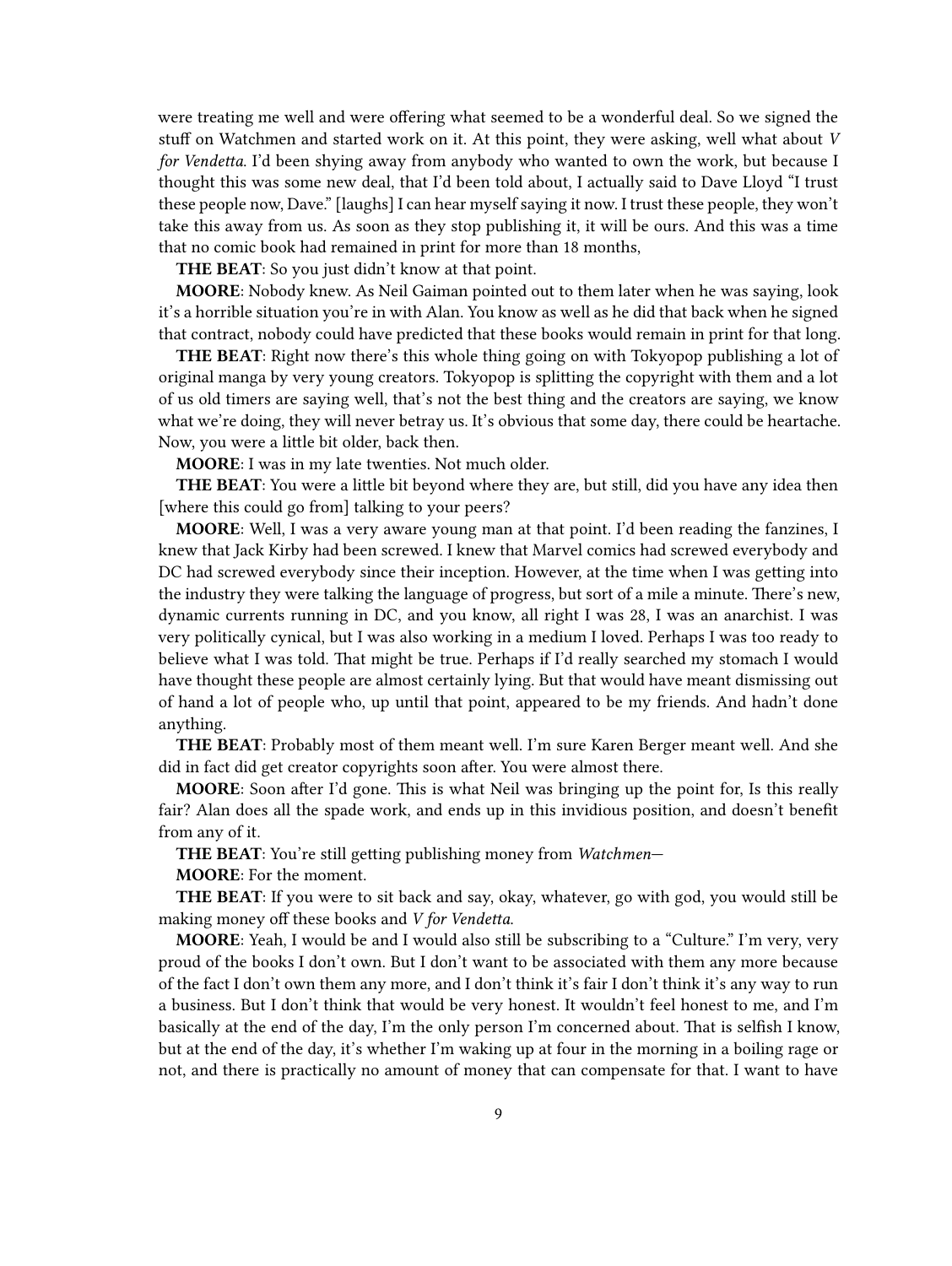were treating me well and were offering what seemed to be a wonderful deal. So we signed the stuff on Watchmen and started work on it. At this point, they were asking, well what about *V for Vendetta*. I'd been shying away from anybody who wanted to own the work, but because I thought this was some new deal, that I'd been told about, I actually said to Dave Lloyd "I trust these people now, Dave." [laughs] I can hear myself saying it now. I trust these people, they won't take this away from us. As soon as they stop publishing it, it will be ours. And this was a time that no comic book had remained in print for more than 18 months,

**THE BEAT**: So you just didn't know at that point.

**MOORE**: Nobody knew. As Neil Gaiman pointed out to them later when he was saying, look it's a horrible situation you're in with Alan. You know as well as he did that back when he signed that contract, nobody could have predicted that these books would remain in print for that long.

**THE BEAT**: Right now there's this whole thing going on with Tokyopop publishing a lot of original manga by very young creators. Tokyopop is splitting the copyright with them and a lot of us old timers are saying well, that's not the best thing and the creators are saying, we know what we're doing, they will never betray us. It's obvious that some day, there could be heartache. Now, you were a little bit older, back then.

**MOORE**: I was in my late twenties. Not much older.

**THE BEAT**: You were a little bit beyond where they are, but still, did you have any idea then [where this could go from] talking to your peers?

**MOORE**: Well, I was a very aware young man at that point. I'd been reading the fanzines, I knew that Jack Kirby had been screwed. I knew that Marvel comics had screwed everybody and DC had screwed everybody since their inception. However, at the time when I was getting into the industry they were talking the language of progress, but sort of a mile a minute. There's new, dynamic currents running in DC, and you know, all right I was 28, I was an anarchist. I was very politically cynical, but I was also working in a medium I loved. Perhaps I was too ready to believe what I was told. That might be true. Perhaps if I'd really searched my stomach I would have thought these people are almost certainly lying. But that would have meant dismissing out of hand a lot of people who, up until that point, appeared to be my friends. And hadn't done anything.

**THE BEAT**: Probably most of them meant well. I'm sure Karen Berger meant well. And she did in fact did get creator copyrights soon after. You were almost there.

**MOORE**: Soon after I'd gone. This is what Neil was bringing up the point for, Is this really fair? Alan does all the spade work, and ends up in this invidious position, and doesn't benefit from any of it.

**THE BEAT**: You're still getting publishing money from *Watchmen*—

**MOORE**: For the moment.

**THE BEAT**: If you were to sit back and say, okay, whatever, go with god, you would still be making money off these books and *V for Vendetta*.

**MOORE**: Yeah, I would be and I would also still be subscribing to a "Culture." I'm very, very proud of the books I don't own. But I don't want to be associated with them any more because of the fact I don't own them any more, and I don't think it's fair I don't think it's any way to run a business. But I don't think that would be very honest. It wouldn't feel honest to me, and I'm basically at the end of the day, I'm the only person I'm concerned about. That is selfish I know, but at the end of the day, it's whether I'm waking up at four in the morning in a boiling rage or not, and there is practically no amount of money that can compensate for that. I want to have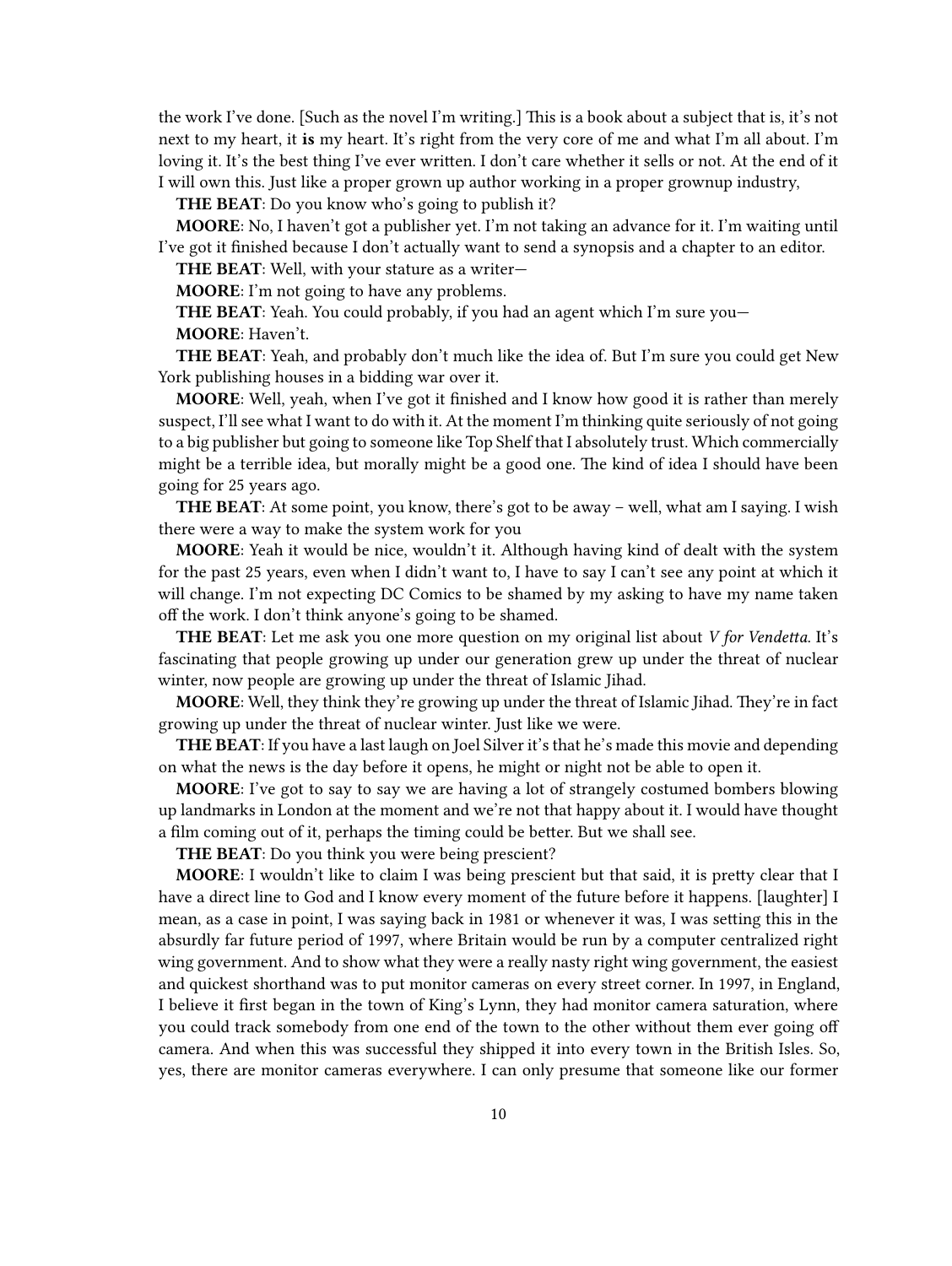the work I've done. [Such as the novel I'm writing.] This is a book about a subject that is, it's not next to my heart, it **is** my heart. It's right from the very core of me and what I'm all about. I'm loving it. It's the best thing I've ever written. I don't care whether it sells or not. At the end of it I will own this. Just like a proper grown up author working in a proper grownup industry,

**THE BEAT**: Do you know who's going to publish it?

**MOORE**: No, I haven't got a publisher yet. I'm not taking an advance for it. I'm waiting until I've got it finished because I don't actually want to send a synopsis and a chapter to an editor.

**THE BEAT**: Well, with your stature as a writer—

**MOORE**: I'm not going to have any problems.

**THE BEAT**: Yeah. You could probably, if you had an agent which I'm sure you—

**MOORE**: Haven't.

**THE BEAT**: Yeah, and probably don't much like the idea of. But I'm sure you could get New York publishing houses in a bidding war over it.

**MOORE**: Well, yeah, when I've got it finished and I know how good it is rather than merely suspect, I'll see what I want to do with it. At the moment I'm thinking quite seriously of not going to a big publisher but going to someone like Top Shelf that I absolutely trust. Which commercially might be a terrible idea, but morally might be a good one. The kind of idea I should have been going for 25 years ago.

**THE BEAT**: At some point, you know, there's got to be away – well, what am I saying. I wish there were a way to make the system work for you

**MOORE**: Yeah it would be nice, wouldn't it. Although having kind of dealt with the system for the past 25 years, even when I didn't want to, I have to say I can't see any point at which it will change. I'm not expecting DC Comics to be shamed by my asking to have my name taken off the work. I don't think anyone's going to be shamed.

**THE BEAT**: Let me ask you one more question on my original list about *V for Vendetta*. It's fascinating that people growing up under our generation grew up under the threat of nuclear winter, now people are growing up under the threat of Islamic Jihad.

**MOORE**: Well, they think they're growing up under the threat of Islamic Jihad. They're in fact growing up under the threat of nuclear winter. Just like we were.

**THE BEAT**: If you have a last laugh on Joel Silver it's that he's made this movie and depending on what the news is the day before it opens, he might or night not be able to open it.

**MOORE**: I've got to say to say we are having a lot of strangely costumed bombers blowing up landmarks in London at the moment and we're not that happy about it. I would have thought a film coming out of it, perhaps the timing could be better. But we shall see.

**THE BEAT**: Do you think you were being prescient?

**MOORE**: I wouldn't like to claim I was being prescient but that said, it is pretty clear that I have a direct line to God and I know every moment of the future before it happens. [laughter] I mean, as a case in point, I was saying back in 1981 or whenever it was, I was setting this in the absurdly far future period of 1997, where Britain would be run by a computer centralized right wing government. And to show what they were a really nasty right wing government, the easiest and quickest shorthand was to put monitor cameras on every street corner. In 1997, in England, I believe it first began in the town of King's Lynn, they had monitor camera saturation, where you could track somebody from one end of the town to the other without them ever going off camera. And when this was successful they shipped it into every town in the British Isles. So, yes, there are monitor cameras everywhere. I can only presume that someone like our former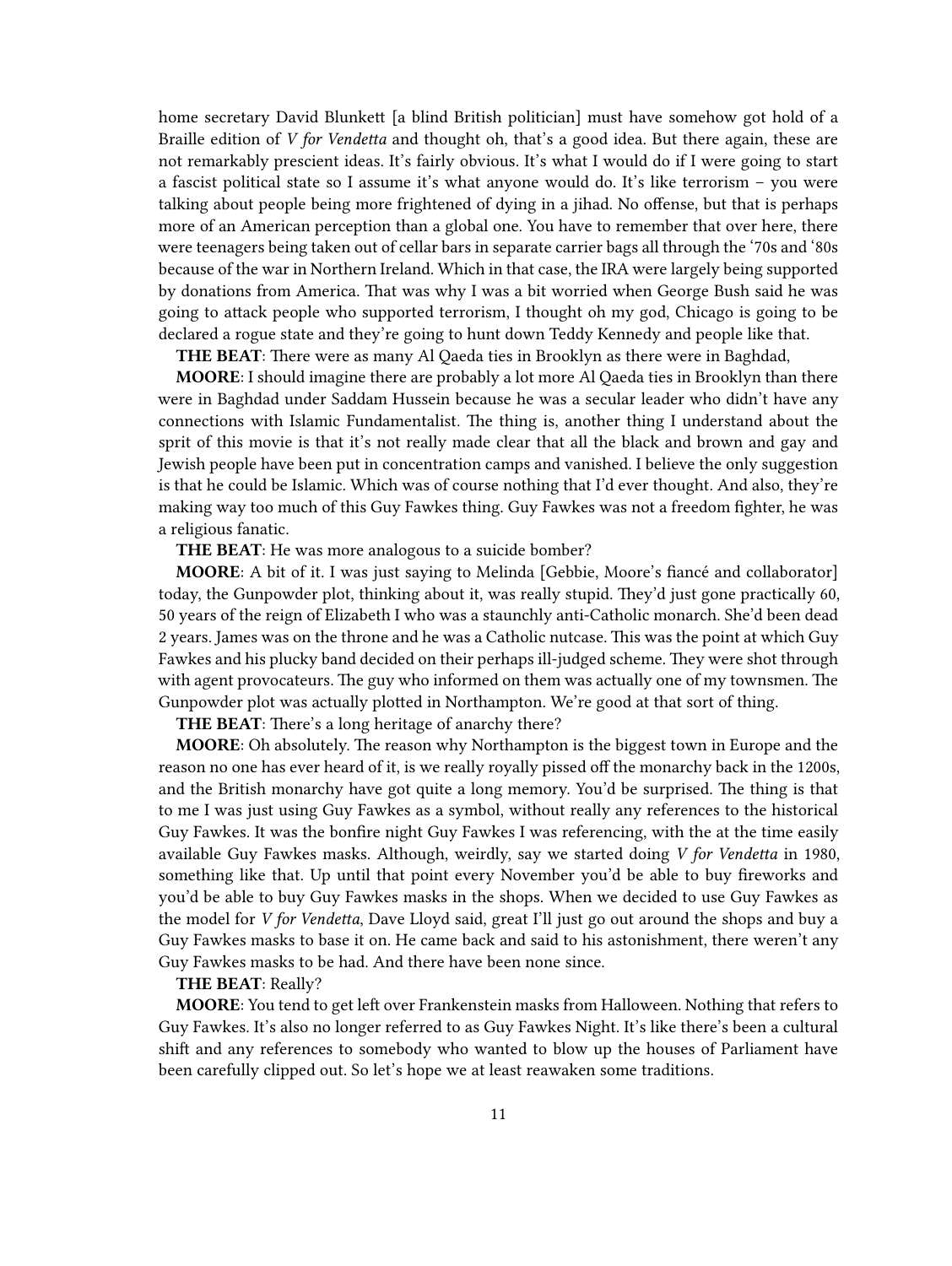home secretary David Blunkett [a blind British politician] must have somehow got hold of a Braille edition of *V for Vendetta* and thought oh, that's a good idea. But there again, these are not remarkably prescient ideas. It's fairly obvious. It's what I would do if I were going to start a fascist political state so I assume it's what anyone would do. It's like terrorism – you were talking about people being more frightened of dying in a jihad. No offense, but that is perhaps more of an American perception than a global one. You have to remember that over here, there were teenagers being taken out of cellar bars in separate carrier bags all through the '70s and '80s because of the war in Northern Ireland. Which in that case, the IRA were largely being supported by donations from America. That was why I was a bit worried when George Bush said he was going to attack people who supported terrorism, I thought oh my god, Chicago is going to be declared a rogue state and they're going to hunt down Teddy Kennedy and people like that.

**THE BEAT**: There were as many Al Qaeda ties in Brooklyn as there were in Baghdad,

**MOORE**: I should imagine there are probably a lot more Al Qaeda ties in Brooklyn than there were in Baghdad under Saddam Hussein because he was a secular leader who didn't have any connections with Islamic Fundamentalist. The thing is, another thing I understand about the sprit of this movie is that it's not really made clear that all the black and brown and gay and Jewish people have been put in concentration camps and vanished. I believe the only suggestion is that he could be Islamic. Which was of course nothing that I'd ever thought. And also, they're making way too much of this Guy Fawkes thing. Guy Fawkes was not a freedom fighter, he was a religious fanatic.

**THE BEAT**: He was more analogous to a suicide bomber?

**MOORE**: A bit of it. I was just saying to Melinda [Gebbie, Moore's fiancé and collaborator] today, the Gunpowder plot, thinking about it, was really stupid. They'd just gone practically 60, 50 years of the reign of Elizabeth I who was a staunchly anti-Catholic monarch. She'd been dead 2 years. James was on the throne and he was a Catholic nutcase. This was the point at which Guy Fawkes and his plucky band decided on their perhaps ill-judged scheme. They were shot through with agent provocateurs. The guy who informed on them was actually one of my townsmen. The Gunpowder plot was actually plotted in Northampton. We're good at that sort of thing.

**THE BEAT**: There's a long heritage of anarchy there?

**MOORE**: Oh absolutely. The reason why Northampton is the biggest town in Europe and the reason no one has ever heard of it, is we really royally pissed off the monarchy back in the 1200s, and the British monarchy have got quite a long memory. You'd be surprised. The thing is that to me I was just using Guy Fawkes as a symbol, without really any references to the historical Guy Fawkes. It was the bonfire night Guy Fawkes I was referencing, with the at the time easily available Guy Fawkes masks. Although, weirdly, say we started doing *V for Vendetta* in 1980, something like that. Up until that point every November you'd be able to buy fireworks and you'd be able to buy Guy Fawkes masks in the shops. When we decided to use Guy Fawkes as the model for *V for Vendetta*, Dave Lloyd said, great I'll just go out around the shops and buy a Guy Fawkes masks to base it on. He came back and said to his astonishment, there weren't any Guy Fawkes masks to be had. And there have been none since.

#### **THE BEAT**: Really?

**MOORE**: You tend to get left over Frankenstein masks from Halloween. Nothing that refers to Guy Fawkes. It's also no longer referred to as Guy Fawkes Night. It's like there's been a cultural shift and any references to somebody who wanted to blow up the houses of Parliament have been carefully clipped out. So let's hope we at least reawaken some traditions.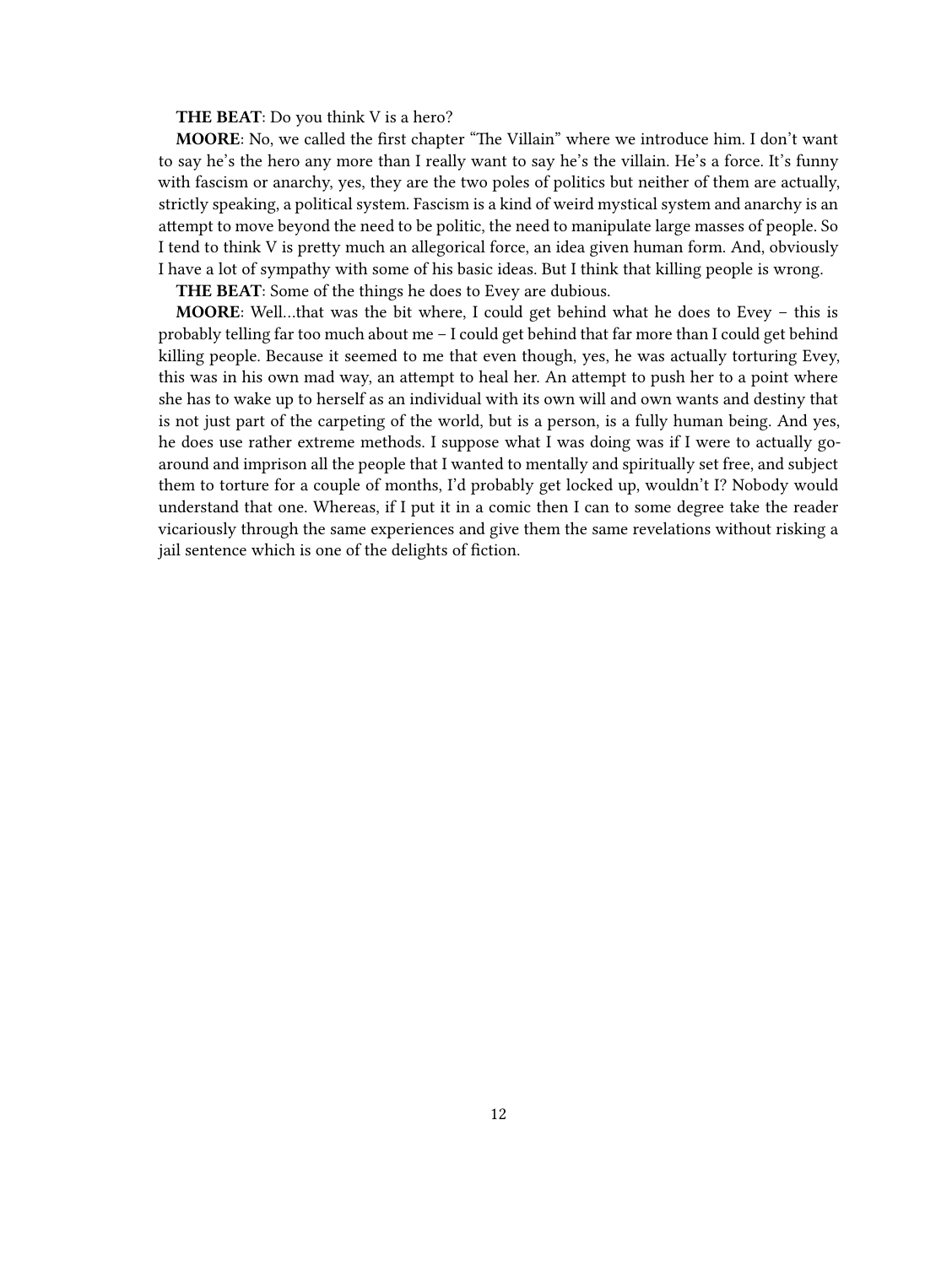**THE BEAT**: Do you think V is a hero?

**MOORE**: No, we called the first chapter "The Villain" where we introduce him. I don't want to say he's the hero any more than I really want to say he's the villain. He's a force. It's funny with fascism or anarchy, yes, they are the two poles of politics but neither of them are actually, strictly speaking, a political system. Fascism is a kind of weird mystical system and anarchy is an attempt to move beyond the need to be politic, the need to manipulate large masses of people. So I tend to think V is pretty much an allegorical force, an idea given human form. And, obviously I have a lot of sympathy with some of his basic ideas. But I think that killing people is wrong.

**THE BEAT**: Some of the things he does to Evey are dubious.

**MOORE**: Well…that was the bit where, I could get behind what he does to Evey – this is probably telling far too much about me – I could get behind that far more than I could get behind killing people. Because it seemed to me that even though, yes, he was actually torturing Evey, this was in his own mad way, an attempt to heal her. An attempt to push her to a point where she has to wake up to herself as an individual with its own will and own wants and destiny that is not just part of the carpeting of the world, but is a person, is a fully human being. And yes, he does use rather extreme methods. I suppose what I was doing was if I were to actually goaround and imprison all the people that I wanted to mentally and spiritually set free, and subject them to torture for a couple of months, I'd probably get locked up, wouldn't I? Nobody would understand that one. Whereas, if I put it in a comic then I can to some degree take the reader vicariously through the same experiences and give them the same revelations without risking a jail sentence which is one of the delights of fiction.